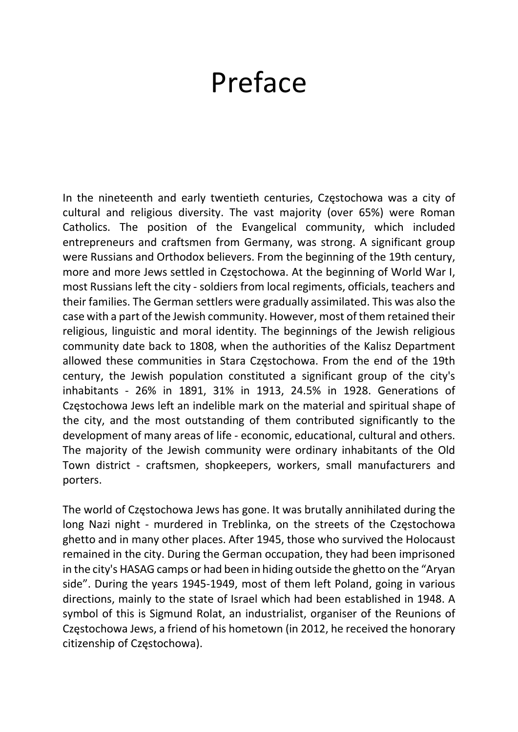## Preface

In the nineteenth and early twentieth centuries, Częstochowa was a city of cultural and religious diversity. The vast majority (over 65%) were Roman Catholics. The position of the Evangelical community, which included entrepreneurs and craftsmen from Germany, was strong. A significant group were Russians and Orthodox believers. From the beginning of the 19th century, more and more Jews settled in Częstochowa. At the beginning of World War I, most Russians left the city - soldiers from local regiments, officials, teachers and their families. The German settlers were gradually assimilated. This was also the case with a part of the Jewish community. However, most of them retained their religious, linguistic and moral identity. The beginnings of the Jewish religious community date back to 1808, when the authorities of the Kalisz Department allowed these communities in Stara Częstochowa. From the end of the 19th century, the Jewish population constituted a significant group of the city's inhabitants - 26% in 1891, 31% in 1913, 24.5% in 1928. Generations of Częstochowa Jews left an indelible mark on the material and spiritual shape of the city, and the most outstanding of them contributed significantly to the development of many areas of life - economic, educational, cultural and others. The majority of the Jewish community were ordinary inhabitants of the Old Town district - craftsmen, shopkeepers, workers, small manufacturers and porters.

The world of Częstochowa Jews has gone. It was brutally annihilated during the long Nazi night - murdered in Treblinka, on the streets of the Częstochowa ghetto and in many other places. After 1945, those who survived the Holocaust remained in the city. During the German occupation, they had been imprisoned in the city's HASAG camps or had been in hiding outside the ghetto on the "Aryan side". During the years 1945-1949, most of them left Poland, going in various directions, mainly to the state of Israel which had been established in 1948. A symbol of this is Sigmund Rolat, an industrialist, organiser of the Reunions of Częstochowa Jews, a friend of his hometown (in 2012, he received the honorary citizenship of Częstochowa).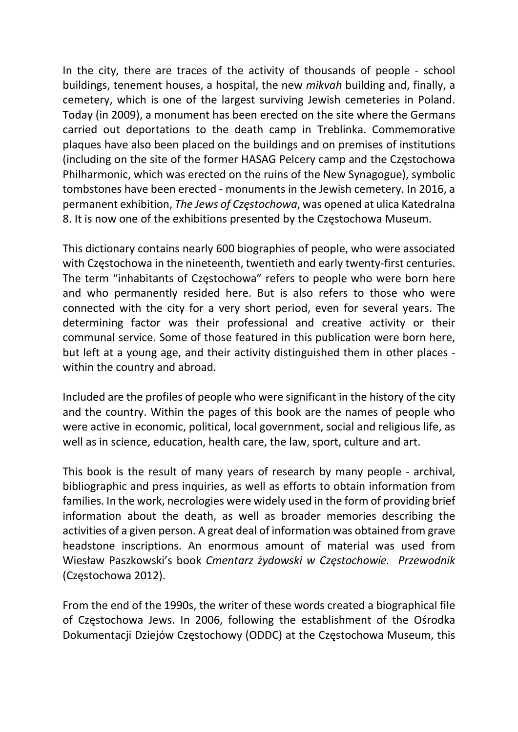In the city, there are traces of the activity of thousands of people - school buildings, tenement houses, a hospital, the new mikvah building and, finally, a cemetery, which is one of the largest surviving Jewish cemeteries in Poland. Today (in 2009), a monument has been erected on the site where the Germans carried out deportations to the death camp in Treblinka. Commemorative plaques have also been placed on the buildings and on premises of institutions (including on the site of the former HASAG Pelcery camp and the Częstochowa Philharmonic, which was erected on the ruins of the New Synagogue), symbolic tombstones have been erected - monuments in the Jewish cemetery. In 2016, a permanent exhibition, The Jews of Częstochowa, was opened at ulica Katedralna 8. It is now one of the exhibitions presented by the Częstochowa Museum.

This dictionary contains nearly 600 biographies of people, who were associated with Częstochowa in the nineteenth, twentieth and early twenty-first centuries. The term "inhabitants of Częstochowa" refers to people who were born here and who permanently resided here. But is also refers to those who were connected with the city for a very short period, even for several years. The determining factor was their professional and creative activity or their communal service. Some of those featured in this publication were born here, but left at a young age, and their activity distinguished them in other places within the country and abroad.

Included are the profiles of people who were significant in the history of the city and the country. Within the pages of this book are the names of people who were active in economic, political, local government, social and religious life, as well as in science, education, health care, the law, sport, culture and art.

This book is the result of many years of research by many people - archival, bibliographic and press inquiries, as well as efforts to obtain information from families. In the work, necrologies were widely used in the form of providing brief information about the death, as well as broader memories describing the activities of a given person. A great deal of information was obtained from grave headstone inscriptions. An enormous amount of material was used from Wiesław Paszkowski's book Cmentarz żydowski w Częstochowie. Przewodnik (Częstochowa 2012).

From the end of the 1990s, the writer of these words created a biographical file of Częstochowa Jews. In 2006, following the establishment of the Ośrodka Dokumentacji Dziejów Częstochowy (ODDC) at the Częstochowa Museum, this